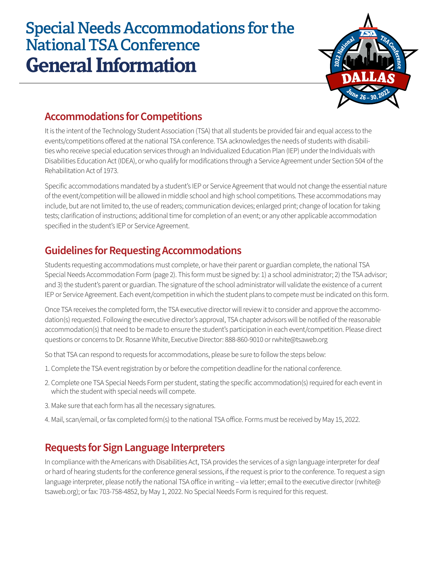# Special Needs Accommodations for the National TSA Conference **General Information**



## **Accommodations for Competitions**

It is the intent of the Technology Student Association (TSA) that all students be provided fair and equal access to the events/competitions offered at the national TSA conference. TSA acknowledges the needs of students with disabilities who receive special education services through an Individualized Education Plan (IEP) under the Individuals with Disabilities Education Act (IDEA), or who qualify for modifications through a Service Agreement under Section 504 of the Rehabilitation Act of 1973.

Specific accommodations mandated by a student's IEP or Service Agreement that would not change the essential nature of the event/competition will be allowed in middle school and high school competitions. These accommodations may include, but are not limited to, the use of readers; communication devices; enlarged print; change of location for taking tests; clarification of instructions; additional time for completion of an event; or any other applicable accommodation specified in the student's IEP or Service Agreement.

#### **Guidelines for Requesting Accommodations**

Students requesting accommodations must complete, or have their parent or guardian complete, the national TSA Special Needs Accommodation Form (page 2). This form must be signed by: 1) a school administrator; 2) the TSA advisor; and 3) the student's parent or guardian. The signature of the school administrator will validate the existence of a current IEP or Service Agreement. Each event/competition in which the student plans to compete must be indicated on this form.

Once TSA receives the completed form, the TSA executive director will review it to consider and approve the accommodation(s) requested. Following the executive director's approval, TSA chapter advisors will be notified of the reasonable accommodation(s) that need to be made to ensure the student's participation in each event/competition. Please direct questions or concerns to Dr. Rosanne White, Executive Director: 888-860-9010 or rwhite@tsaweb.org

So that TSA can respond to requests for accommodations, please be sure to follow the steps below:

- 1. Complete the TSA event registration by or before the competition deadline for the national conference.
- 2. Complete one TSA Special Needs Form per student, stating the specific accommodation(s) required for each event in which the student with special needs will compete.
- 3. Make sure that each form has all the necessary signatures.
- 4. Mail, scan/email, or fax completed form(s) to the national TSA office. Forms must be received by May 15, 2022.

## **Requests for Sign Language Interpreters**

In compliance with the Americans with Disabilities Act, TSA provides the services of a sign language interpreter for deaf or hard of hearing students for the conference general sessions, if the request is prior to the conference. To request a sign language interpreter, please notify the national TSA office in writing – via letter; email to the executive director (rwhite@ tsaweb.org); or fax: 703-758-4852, by May 1, 2022. No Special Needs Form is required for this request.